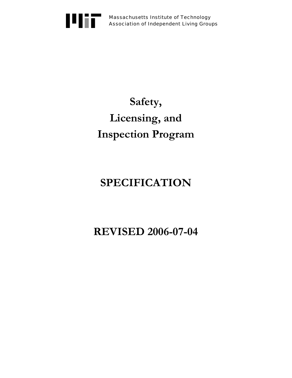

Massachusetts Institute of Technology Association of Independent Living Groups

# **Safety, Licensing, and Inspection Program**

# **SPECIFICATION**

**REVISED 2006-07-04**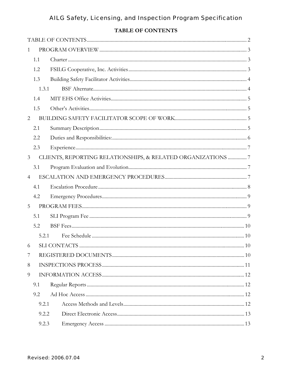# TABLE OF CONTENTS

<span id="page-1-0"></span>

| 1              |       |                                                              |  |
|----------------|-------|--------------------------------------------------------------|--|
|                | 1.1   |                                                              |  |
|                | 1.2   |                                                              |  |
|                | 1.3   |                                                              |  |
|                | 1.3.1 |                                                              |  |
|                | 1.4   |                                                              |  |
|                | 1.5   |                                                              |  |
| 2              |       |                                                              |  |
|                | 2.1   |                                                              |  |
|                | 2.2   |                                                              |  |
|                | 2.3   |                                                              |  |
| $\mathfrak{Z}$ |       | CLIENTS, REPORTING RELATIONSHIPS, & RELATED ORGANIZATIONS  7 |  |
|                | 3.1   |                                                              |  |
| $\overline{4}$ |       |                                                              |  |
|                | 4.1   |                                                              |  |
|                | 4.2   |                                                              |  |
| 5              |       |                                                              |  |
|                | 5.1   |                                                              |  |
|                | 5.2   |                                                              |  |
|                | 5.2.1 |                                                              |  |
| 6              |       |                                                              |  |
| 7              |       |                                                              |  |
| 8              |       |                                                              |  |
| 9              |       |                                                              |  |
|                | 9.1   |                                                              |  |
|                | 9.2   |                                                              |  |
|                | 9.2.1 |                                                              |  |
|                | 9.2.2 |                                                              |  |
|                | 9.2.3 |                                                              |  |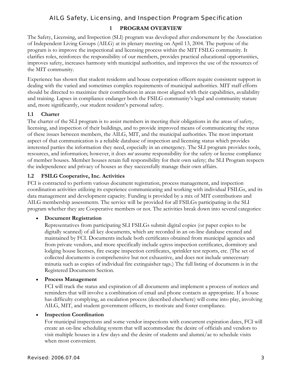## **1 PROGRAM OVERVIEW**

<span id="page-2-0"></span>The Safety, Licensing, and Inspection (SLI) program was developed after endorsement by the Association of Independent Living Groups (AILG) at its plenary meeting on April 13, 2004. The purpose of the program is to improve the inspectional and licensing process within the MIT FSILG community. It clarifies roles, reinforces the responsibility of our members, provides practical educational opportunities, improves safety, increases harmony with municipal authorities, and improves the use of the resources of the MIT community.

Experience has shown that student residents and house corporation officers require consistent support in dealing with the varied and sometimes complex requirements of municipal authorities. MIT staff efforts should be directed to maximize their contribution in areas most aligned with their capabilities, availability and training. Lapses in compliance endanger both the FSILG community's legal and community stature and, more significantly, our student resident's personal safety.

#### **1.1 Charter**

The charter of the SLI program is to assist members in meeting their obligations in the areas of safety, licensing, and inspection of their buildings, and to provide improved means of communicating the status of these issues between members, the AILG, MIT, and the municipal authorities. The most important aspect of that communication is a reliable database of inspection and licensing status which provides interested parties the information they need, especially in an emergency. The SLI program provides tools, resources, and information; however, it does *not* assume responsibility for the safety or license compliance of member houses. Member houses retain full responsibility for their own safety; the SLI Program respects the independence and privacy of houses as they successfully manage their own affairs.

#### **1.2 FSILG Cooperative, Inc. Activities**

FCI is contracted to perform various document registration, process management, and inspection coordination activities utilizing its experience communicating and working with individual FSILGs, and its data management and development capacity. Funding is provided by a mix of MIT contributions and AILG membership assessments. The service will be provided for all FSILGs participating in the SLI program whether they are Cooperative members or not. The activities break down into several categories:

#### • **Document Registration**

Representatives from participating SLI FSILGs submit digital copies (or paper copies to be digitally scanned) of all key documents, which are recorded in an on-line database created and maintained by FCI. Documents include both certificates obtained from municipal agencies and from private vendors, and more specifically include egress inspection certificates, dormitory and lodging house licenses, fire escape inspection certificates, sprinkler test reports, etc. (The set of collected documents is comprehensive but not exhaustive, and does not include unnecessary minutia such as copies of individual fire extinguisher tags.) The full listing of documents is in the Registered Documents Section.

#### • **Process Management**

FCI will track the status and expiration of all documents and implement a process of notices and reminders that will involve a combination of email and phone contacts as appropriate. If a house has difficulty complying, an escalation process (described elsewhere) will come into play, involving AILG, MIT, and student government officers, to motivate and foster compliance.

#### • **Inspection Coordination**

For municipal inspections and some vendor inspections with concurrent expiration dates, FCI will create an on-line scheduling system that will accommodate the desire of officials and vendors to visit multiple houses in a few days and the desire of students and alumni/ae to schedule visits when most convenient.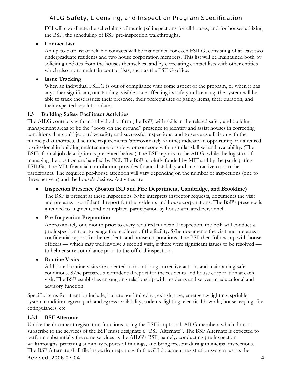<span id="page-3-0"></span>FCI will coordinate the scheduling of municipal inspections for all houses, and for houses utilizing the BSF, the scheduling of BSF pre-inspection walkthroughs.

#### • **Contact List**

An up-to-date list of reliable contacts will be maintained for each FSILG, consisting of at least two undergraduate residents and two house corporation members. This list will be maintained both by soliciting updates from the houses themselves, and by correlating contact lists with other entities which also try to maintain contact lists, such as the FSILG office.

#### • **Issue Tracking**

When an individual FSILG is out of compliance with some aspect of the program, or when it has any other significant, outstanding, visible issue affecting its safety or licensing, the system will be able to track these issues: their presence, their prerequisites or gating items, their duration, and their expected resolution date.

#### **1.3 Building Safety Facilitator Activities**

The AILG contracts with an individual or firm (the BSF) with skills in the related safety and building management areas to be the "boots on the ground" presence to identify and assist houses in correcting conditions that could jeopardize safety and successful inspections, and to serve as a liaison with the municipal authorities. The time requirements (approximately ½ time) indicate an opportunity for a retired professional in building maintenance or safety, or someone with a similar skill set and availability. (The BSF's formal job description is presented below.) The BSF reports to the AILG, while the logistics of managing the position are handled by FCI. The BSF is jointly funded by MIT and by the participating FSILGs. The MIT financial contribution provides financial stability and an attractive cost to the participants. The required per-house attention will vary depending on the number of inspections (one to three per year) and the house's desires. Activities are

# • **Inspection Presence (Boston ISD and Fire Department, Cambridge, and Brookline)**

The BSF is present at these inspections. S/he interprets inspector requests, documents the visit and prepares a confidential report for the residents and house corporations. The BSF's presence is intended to augment, and not replace, participation by house-affiliated personnel.

#### • **Pre-Inspection Preparation**

Approximately one month prior to every required municipal inspection, the BSF will conduct a pre-inspection tour to gauge the readiness of the facility. S/he documents the visit and prepares a confidential report for the residents and house corporations. The BSF then follows up with house officers — which may well involve a second visit, if there were significant issues to be resolved to help ensure compliance prior to the official inspection.

#### • **Routine Visits**

Additional routine visits are oriented to monitoring corrective actions and maintaining safe conditions. S/he prepares a confidential report for the residents and house corporation at each visit. The BSF establishes an ongoing relationship with residents and serves an educational and advisory function.

Specific items for attention include, but are not limited to, exit signage, emergency lighting, sprinkler system condition, egress path and egress availability, rodents, lighting, electrical hazards, housekeeping, fire extinguishers, etc.

#### **1.3.1 BSF Alternate**

Unlike the document registration functions, using the BSF is optional. AILG members which do not subscribe to the services of the BSF must designate a "BSF Alternate". The BSF Alternate is expected to perform substantially the same services as the AILG's BSF, namely: conducting pre-inspection walkthroughs, preparing summary reports of findings, and being present during municipal inspections. The BSF Alternate shall file inspection reports with the SLI document registration system just as the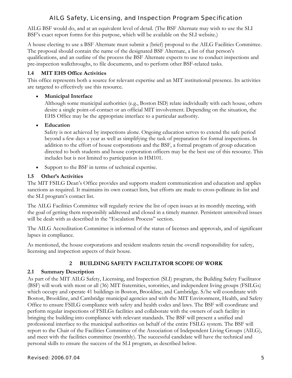<span id="page-4-0"></span>AILG BSF would do, and at an equivalent level of detail. (The BSF Alternate may wish to use the SLI BSF's exact report forms for this purpose, which will be available on the SLI website.)

A house electing to use a BSF Alternate must submit a (brief) proposal to the AILG Facilities Committee. The proposal should contain the name of the designated BSF Alternate, a list of that person's qualifications, and an outline of the process the BSF Alternate expects to use to conduct inspections and pre-inspection walkthroughs, to file documents, and to perform other BSF-related tasks.

## **1.4 MIT EHS Office Activities**

This office represents both a source for relevant expertise and an MIT institutional presence. Its activities are targeted to effectively use this resource.

## • **Municipal Interface**

Although some municipal authorities (e.g., Boston ISD) relate individually with each house, others desire a single point-of-contact or an official MIT involvement. Depending on the situation, the EHS Office may be the appropriate interface to a particular authority.

## • **Education**

Safety is not achieved by inspections alone. Ongoing education serves to extend the safe period beyond a few days a year as well as simplifying the task of preparation for formal inspections. In addition to the effort of house corporations and the BSF, a formal program of group education directed to both students and house corporation officers may be the best use of this resource. This includes but is not limited to participation in HM101.

• Support to the BSF in terms of technical expertise.

## **1.5 Other's Activities**

The MIT FSILG Dean's Office provides and supports student communication and education and applies sanctions as required. It maintains its own contact lists, but efforts are made to cross-pollinate its list and the SLI program's contact list.

The AILG Facilities Committee will regularly review the list of open issues at its monthly meeting, with the goal of getting them responsibly addressed and closed in a timely manner. Persistent unresolved issues will be dealt with as described in the "Escalation Process" section.

The AILG Accreditation Committee is informed of the status of licenses and approvals, and of significant lapses in compliance.

As mentioned, the house corporations and resident students retain the overall responsibility for safety, licensing and inspection aspects of their house.

# **2 BUILDING SAFETY FACILITATOR SCOPE OF WORK**

## **2.1 Summary Description**

As part of the MIT AILG Safety, Licensing, and Inspection (SLI) program, the Building Safety Facilitator (BSF) will work with most or all (36) MIT fraternities, sororities, and independent living groups (FSILGs) which occupy and operate 41 buildings in Boston, Brookline, and Cambridge. S/he will coordinate with Boston, Brookline, and Cambridge municipal agencies and with the MIT Environment, Health, and Safety Office to ensure FSILG compliance with safety and health codes and laws. The BSF will coordinate and perform regular inspections of FSILGs facilities and collaborate with the owners of each facility in bringing the building into compliance with relevant standards. The BSF will present a unified and professional interface to the municipal authorities on behalf of the entire FSILG system. The BSF will report to the Chair of the Facilities Committee of the Association of Independent Living Groups (AILG), and meet with the facilities committee (monthly). The successful candidate will have the technical and personal skills to ensure the success of the SLI program, as described below.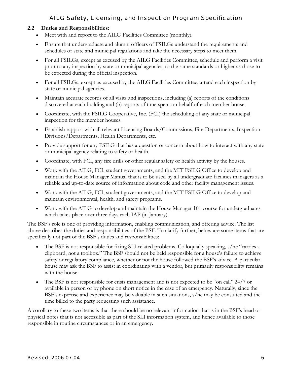#### <span id="page-5-0"></span>**2.2 Duties and Responsibilities:**

- Meet with and report to the AILG Facilities Committee (monthly).
- Ensure that undergraduate and alumni officers of FSILGs understand the requirements and schedules of state and municipal regulations and take the necessary steps to meet them.
- For all FSILGs, except as excused by the AILG Facilities Committee, schedule and perform a visit prior to any inspection by state or municipal agencies, to the same standards or higher as those to be expected during the official inspection.
- For all FSILGs, except as excused by the AILG Facilities Committee, attend each inspection by state or municipal agencies.
- Maintain accurate records of all visits and inspections, including (a) reports of the conditions discovered at each building and (b) reports of time spent on behalf of each member house.
- Coordinate, with the FSILG Cooperative, Inc. (FCI) the scheduling of any state or municipal inspection for the member houses.
- Establish rapport with all relevant Licensing Boards/Commissions, Fire Departments, Inspection Divisions/Departments, Health Departments, etc.
- Provide support for any FSILG that has a question or concern about how to interact with any state or municipal agency relating to safety or health.
- Coordinate, with FCI, any fire drills or other regular safety or health activity by the houses.
- Work with the AILG, FCI, student governments, and the MIT FSILG Office to develop and maintain the House Manager Manual that is to be used by all undergraduate facilities managers as a reliable and up-to-date source of information about code and other facility management issues.
- Work with the AILG, FCI, student governments, and the MIT FSILG Office to develop and maintain environmental, health, and safety programs.
- Work with the AILG to develop and maintain the House Manager 101 course for undergraduates which takes place over three days each IAP (in January).

The BSF's role is one of providing information, enabling communication, and offering advice. The list above describes the duties and responsibilities of the BSF. To clarify further, below are some items that are specifically not part of the BSF's duties and responsibilities:

- The BSF is not responsible for fixing SLI-related problems. Colloquially speaking, s/he "carries a clipboard, not a toolbox." The BSF should not be held responsible for a house's failure to achieve safety or regulatory compliance, whether or not the house followed the BSF's advice. A particular house may ask the BSF to assist in coordinating with a vendor, but primarily responsibility remains with the house.
- The BSF is not responsible for crisis management and is not expected to be "on call" 24/7 or available in person or by phone on short notice in the case of an emergency. Naturally, since the BSF's expertise and experience may be valuable in such situations, s/he may be consulted and the time billed to the party requesting such assistance.

A corollary to these two items is that there should be no relevant information that is in the BSF's head or physical notes that is not accessible as part of the SLI information system, and hence available to those responsible in routine circumstances or in an emergency.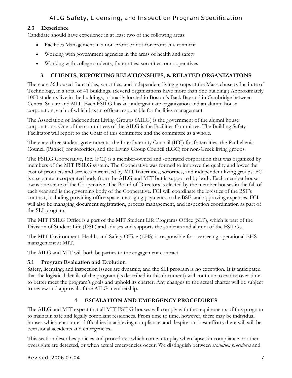## <span id="page-6-0"></span>**2.3 Experience**

Candidate should have experience in at least two of the following areas:

- Facilities Management in a non-profit or not-for-profit environment
- Working with government agencies in the areas of health and safety
- Working with college students, fraternities, sororities, or cooperatives

# **3 CLIENTS, REPORTING RELATIONSHIPS, & RELATED ORGANIZATIONS**

There are 36 housed fraternities, sororities, and independent living groups at the Massachusetts Institute of Technology, in a total of 41 buildings. (Several organizations have more than one building.) Approximately 1000 students live in the buildings, primarily located in Boston's Back Bay and in Cambridge between Central Square and MIT. Each FSILG has an undergraduate organization and an alumni house corporation, each of which has an officer responsible for facilities management.

The Association of Independent Living Groups (AILG) is the government of the alumni house corporations. One of the committees of the AILG is the Facilities Committee. The Building Safety Facilitator will report to the Chair of this committee and the committee as a whole.

There are three student governments: the Interfraternity Council (IFC) for fraternities, the Panhellenic Council (Panhel) for sororities, and the Living Group Council (LGC) for non-Greek living groups.

The FSILG Cooperative, Inc. (FCI) is a member-owned and -operated corporation that was organized by members of the MIT FSILG system. The Cooperative was formed to improve the quality and lower the cost of products and services purchased by MIT fraternities, sororities, and independent living groups. FCI is a separate incorporated body from the AILG and MIT but is supported by both. Each member house owns one share of the Cooperative. The Board of Directors is elected by the member houses in the fall of each year and is the governing body of the Cooperative. FCI will coordinate the logistics of the BSF's contract, including providing office space, managing payments to the BSF, and approving expenses. FCI will also be managing document registration, process management, and inspection coordination as part of the SLI program.

The MIT FSILG Office is a part of the MIT Student Life Programs Office (SLP), which is part of the Division of Student Life (DSL) and advises and supports the students and alumni of the FSILGs.

The MIT Environment, Health, and Safety Office (EHS) is responsible for overseeing operational EHS management at MIT.

The AILG and MIT will both be parties to the engagement contract.

## **3.1 Program Evaluation and Evolution**

Safety, licensing, and inspection issues are dynamic, and the SLI program is no exception. It is anticipated that the logistical details of the program (as described in this document) will continue to evolve over time, to better meet the program's goals and uphold its charter. Any changes to the actual charter will be subject to review and approval of the AILG membership.

# **4 ESCALATION AND EMERGENCY PROCEDURES**

The AILG and MIT expect that all MIT FSILG houses will comply with the requirements of this program to maintain safe and legally compliant residences. From time to time, however, there may be individual houses which encounter difficulties in achieving compliance, and despite our best efforts there will still be occasional accidents and emergencies.

This section describes policies and procedures which come into play when lapses in compliance or other oversights are detected, or when actual emergencies occur. We distinguish between *escalation procedures* and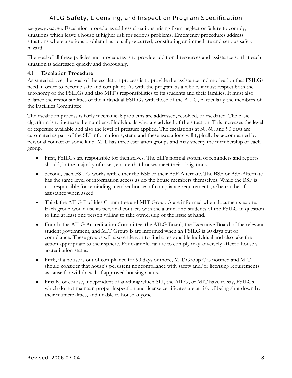<span id="page-7-0"></span>*emergency response*. Escalation procedures address situations arising from neglect or failure to comply, situations which leave a house at higher risk for serious problems. Emergency procedures address situations where a serious problem has actually occurred, constituting an immediate and serious safety hazard.

The goal of all these policies and procedures is to provide additional resources and assistance so that each situation is addressed quickly and thoroughly.

#### **4.1 Escalation Procedure**

As stated above, the goal of the escalation process is to provide the assistance and motivation that FSILGs need in order to become safe and compliant. As with the program as a whole, it must respect both the autonomy of the FSILGs and also MIT's responsibilities to its students and their families. It must also balance the responsibilities of the individual FSILGs with those of the AILG, particularly the members of the Facilities Committee.

The escalation process is fairly mechanical: problems are addressed, resolved, or escalated. The basic algorithm is to increase the number of individuals who are advised of the situation. This increases the level of expertise available and also the level of pressure applied. The escalations at 30, 60, and 90 days are automated as part of the SLI information system, and these escalations will typically be accompanied by personal contact of some kind. MIT has three escalation groups and may specify the membership of each group.

- First, FSILGs are responsible for themselves. The SLI's normal system of reminders and reports should, in the majority of cases, ensure that houses meet their obligations.
- Second, each FSILG works with either the BSF or their BSF-Alternate. The BSF or BSF-Alternate has the same level of information access as do the house members themselves. While the BSF is not responsible for reminding member houses of compliance requirements, s/he can be of assistance when asked.
- Third, the AILG Facilities Committee and MIT Group A are informed when documents expire. Each group would use its personal contacts with the alumni and students of the FSILG in question to find at least one person willing to take ownership of the issue at hand.
- Fourth, the AILG Accreditation Committee, the AILG Board, the Executive Board of the relevant student government, and MIT Group B are informed when an FSILG is 60 days out of compliance. These groups will also endeavor to find a responsible individual and also take the action appropriate to their sphere. For example, failure to comply may adversely affect a house's accreditation status.
- Fifth, if a house is out of compliance for 90 days or more, MIT Group C is notified and MIT should consider that house's persistent noncompliance with safety and/or licensing requirements as cause for withdrawal of approved housing status.
- Finally, of course, independent of anything which SLI, the AILG, or MIT have to say, FSILGs which do not maintain proper inspection and license certificates are at risk of being shut down by their municipalities, and unable to house anyone.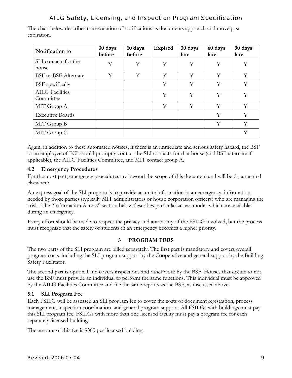<span id="page-8-0"></span>The chart below describes the escalation of notifications as documents approach and move past expiration.

| Notification to                     | 30 days<br>before | 10 days<br>before | Expired | 30 days<br>late | 60 days<br>late | 90 days<br>late |
|-------------------------------------|-------------------|-------------------|---------|-----------------|-----------------|-----------------|
| SLI contacts for the<br>house       | Y                 | Y                 | Υ       | Υ               | Υ               | Υ               |
| <b>BSF</b> or BSF-Alternate         | Y                 | Y                 | Y       | Y               | Y               | Y               |
| <b>BSF</b> specifically             |                   |                   | Y       | Y               | Y               | Y               |
| <b>AILG</b> Facilities<br>Committee |                   |                   | Y       | Y               | Y               | Y               |
| MIT Group A                         |                   |                   | Y       | Υ               | Y               | Y               |
| <b>Executive Boards</b>             |                   |                   |         |                 | Y               | Y               |
| MIT Group B                         |                   |                   |         |                 | Y               | Y               |
| MIT Group C                         |                   |                   |         |                 |                 | Y               |

Again, in addition to these automated notices, if there is an immediate and serious safety hazard, the BSF or an employee of FCI should promptly contact the SLI contacts for that house (and BSF-alternate if applicable), the AILG Facilities Committee, and MIT contact group A.

## **4.2 Emergency Procedures**

For the most part, emergency procedures are beyond the scope of this document and will be documented elsewhere.

An express goal of the SLI program is to provide accurate information in an emergency, information needed by those parties (typically MIT administrators or house corporation officers) who are managing the crisis. The "Information Access" section below describes particular access modes which are available during an emergency.

Every effort should be made to respect the privacy and autonomy of the FSILG involved, but the process must recognize that the safety of students in an emergency becomes a higher priority.

## **5 PROGRAM FEES**

The two parts of the SLI program are billed separately. The first part is mandatory and covers overall program costs, including the SLI program support by the Cooperative and general support by the Building Safety Facilitator.

The second part is optional and covers inspections and other work by the BSF. Houses that decide to not use the BSF must provide an individual to perform the same functions. This individual must be approved by the AILG Facilities Committee and file the same reports as the BSF, as discussed above.

#### **5.1 SLI Program Fee**

Each FSILG will be assessed an SLI program fee to cover the costs of document registration, process management, inspection coordination, and general program support. All FSILGs with buildings must pay this SLI program fee. FSILGs with more than one licensed facility must pay a program fee for each separately licensed building.

The amount of this fee is \$500 per licensed building.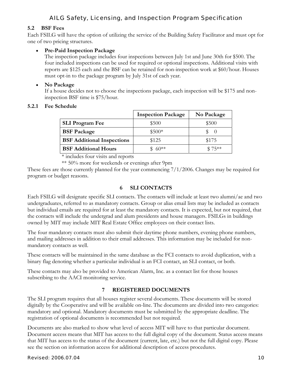#### <span id="page-9-0"></span>**5.2 BSF Fees**

Each FSILG will have the option of utilizing the service of the Building Safety Facilitator and must opt for one of two pricing structures.

#### • **Pre-Paid Inspection Package**

The inspection package includes four inspections between July 1st and June 30th for \$500. The four included inspections can be used for required or optional inspections. Additional visits with reports are \$125 each and the BSF can be retained for non-inspection work at \$60/hour. Houses must opt-in to the package program by July 31st of each year.

#### • **No Package**

If a house decides not to choose the inspections package, each inspection will be \$175 and noninspection BSF time is \$75/hour.

#### **5.2.1 Fee Schedule**

|                                   | <b>Inspection Package</b> | No Package |
|-----------------------------------|---------------------------|------------|
| <b>SLI Program Fee</b>            | \$500                     | \$500      |
| <b>BSF Package</b>                | $$500*$                   | $\theta$   |
| <b>BSF</b> Additional Inspections | \$125                     | \$175      |
| <b>BSF</b> Additional Hours       | $60**$                    | $$75**$    |

\* includes four visits and reports

\*\* 50% more for weekends or evenings after 9pm

These fees are those currently planned for the year commencing 7/1/2006. Changes may be required for program or budget reasons.

## **6 SLI CONTACTS**

Each FSILG will designate specific SLI contacts. The contacts will include at least two alumni/ae and two undergraduates, referred to as mandatory contacts. Group or alias email lists may be included as contacts but individual emails are required for at least the mandatory contacts. It is expected, but not required, that the contacts will include the undergrad and alum presidents and house managers. FSILGs in buildings owned by MIT may include MIT Real Estate Office employees on their contact lists.

The four mandatory contacts must also submit their daytime phone numbers, evening phone numbers, and mailing addresses in addition to their email addresses. This information may be included for nonmandatory contacts as well.

These contacts will be maintained in the same database as the FCI contacts to avoid duplication, with a binary flag denoting whether a particular individual is an FCI contact, an SLI contact, or both.

These contacts may also be provided to American Alarm, Inc. as a contact list for those houses subscribing to the AACI monitoring service.

#### **7 REGISTERED DOCUMENTS**

The SLI program requires that all houses register several documents. These documents will be stored digitally by the Cooperative and will be available on-line. The documents are divided into two categories: mandatory and optional. Mandatory documents must be submitted by the appropriate deadline. The registration of optional documents is recommended but not required.

Documents are also marked to show what level of access MIT will have to that particular document. Document access means that MIT has access to the full digital copy of the document. Status access means that MIT has access to the status of the document (current, late, etc.) but not the full digital copy. Please see the section on information access for additional description of access procedures.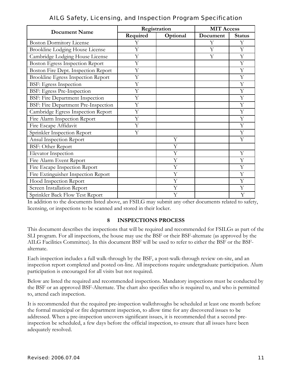<span id="page-10-0"></span>

| <b>Document Name</b>                      |          | Registration | <b>MIT Access</b> |               |  |
|-------------------------------------------|----------|--------------|-------------------|---------------|--|
|                                           | Required | Optional     | Document          | <b>Status</b> |  |
| <b>Boston Dormitory License</b>           | Υ        |              | Y                 | Υ             |  |
| <b>Brookline Lodging House License</b>    | Y        |              | Y                 | Y             |  |
| Cambridge Lodging House License           | Y        |              | Y                 | Y             |  |
| <b>Boston Egress Inspection Report</b>    | Y        |              |                   | Y             |  |
| Boston Fire Dept. Inspection Report       | Y        |              |                   | Y             |  |
| <b>Brookline Egress Inspection Report</b> | Y        |              |                   | Y             |  |
| <b>BSF: Egress Inspection</b>             | Y        |              |                   | Y             |  |
| BSF: Egress Pre-Inspection                | Y        |              |                   | Y             |  |
| <b>BSF: Fire Department Inspection</b>    | Y        |              |                   | Y             |  |
| BSF: Fire Department Pre-Inspection       | Y        |              |                   | Y             |  |
| Cambridge Egress Inspection Report        | Y        |              |                   | Y             |  |
| Fire Alarm Inspection Report              | Y        |              |                   | Y             |  |
| Fire Escape Affidavit                     | Y        |              |                   | Υ             |  |
| Sprinkler Inspection Report               | Y        |              |                   | Y             |  |
| Ansul Inspection Report                   |          | Y            |                   | Y             |  |
| <b>BSF: Other Report</b>                  |          | Y            |                   |               |  |
| Elevator Inspection                       |          | Y            |                   | Y             |  |
| Fire Alarm Event Report                   |          | Y            |                   | Y             |  |
| Fire Escape Inspection Report             |          | Y            |                   | Y             |  |
| Fire Extinguisher Inspection Report       |          | Y            |                   | Υ             |  |
| Hood Inspection Report                    |          | Y            |                   | Y             |  |
| Screen Installation Report                |          | Y            |                   | Y             |  |
| Sprinkler Back Flow Test Report           |          | Y            |                   | Y             |  |

In addition to the documents listed above, an FSILG may submit any other documents related to safety, licensing, or inspections to be scanned and stored in their locker.

#### **8 INSPECTIONS PROCESS**

This document describes the inspections that will be required and recommended for FSILGs as part of the SLI program. For all inspections, the house may use the BSF or their BSF-alternate (as approved by the AILG Facilities Committee). In this document BSF will be used to refer to either the BSF or the BSFalternate.

Each inspection includes a full walk-through by the BSF, a post-walk-through review on-site, and an inspection report completed and posted on-line. All inspections require undergraduate participation. Alum participation is encouraged for all visits but not required.

Below are listed the required and recommended inspections. Mandatory inspections must be conducted by the BSF or an approved BSF-Alternate. The chart also specifies who is required to, and who is permitted to, attend each inspection.

It is recommended that the required pre-inspection walkthroughs be scheduled at least one month before the formal municipal or fire department inspection, to allow time for any discovered issues to be addressed. When a pre-inspection uncovers significant issues, it is recommended that a second preinspection be scheduled, a few days before the official inspection, to ensure that all issues have been adequately resolved.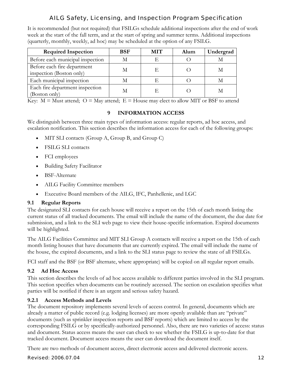<span id="page-11-0"></span>It is recommended (but not required) that FSILGs schedule additional inspections after the end of work week at the start of the fall term, and at the start of spring and summer terms. Additional inspections (quarterly, monthly, weekly, ad hoc) may be scheduled at the option of any FSILG.

| <b>Required Inspection</b>                              | <b>BSF</b> | <b>MIT</b> | Alum | Undergrad |
|---------------------------------------------------------|------------|------------|------|-----------|
| Before each municipal inspection                        | M          | F          |      |           |
| Before each fire department<br>inspection (Boston only) | М          | E          |      |           |
| Each municipal inspection                               |            |            |      |           |
| Each fire department inspection<br>(Boston only)        | M          |            |      |           |

Key:  $M =$  Must attend;  $O =$  May attend;  $E =$  House may elect to allow MIT or BSF to attend

## **9 INFORMATION ACCESS**

We distinguish between three main types of information access: regular reports, ad hoc access, and escalation notification. This section describes the information access for each of the following groups:

- MIT SLI contacts (Group A, Group B, and Group C)
- FSILG SLI contacts
- FCI employees
- Building Safety Facilitator
- BSF-Alternate
- AILG Facility Committee members
- Executive Board members of the AILG, IFC, Panhellenic, and LGC

## **9.1 Regular Reports**

The designated SLI contacts for each house will receive a report on the 15th of each month listing the current status of all tracked documents. The email will include the name of the document, the due date for submission, and a link to the SLI web page to view their house-specific information. Expired documents will be highlighted.

The AILG Facilities Committee and MIT SLI Group A contacts will receive a report on the 15th of each month listing houses that have documents that are currently expired. The email will include the name of the house, the expired documents, and a link to the SLI status page to review the state of all FSILGs.

FCI staff and the BSF (or BSF alternate, where appropriate) will be copied on all regular report emails.

## **9.2 Ad Hoc Access**

This section describes the levels of ad hoc access available to different parties involved in the SLI program. This section specifies when documents can be routinely accessed. The section on escalation specifies what parties will be notified if there is an urgent and serious safety hazard.

## **9.2.1 Access Methods and Levels**

The document repository implements several levels of access control. In general, documents which are already a matter of public record (e.g. lodging licenses) are more openly available than are "private" documents (such as sprinkler inspection reports and BSF reports) which are limited to access by the corresponding FSILG or by specifically-authorized personnel. Also, there are two varieties of access: status and document. Status access means the user can check to see whether the FSILG is up-to-date for that tracked document. Document access means the user can download the document itself.

There are two methods of document access, direct electronic access and delivered electronic access.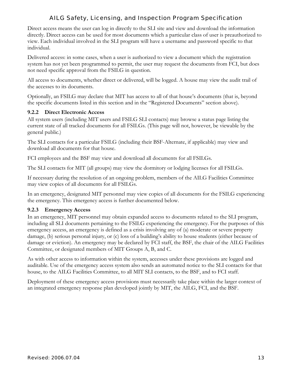<span id="page-12-0"></span>Direct access means the user can log in directly to the SLI site and view and download the information directly. Direct access can be used for most documents which a particular class of user is preauthorized to view. Each individual involved in the SLI program will have a username and password specific to that individual.

Delivered access: in some cases, when a user is authorized to view a document which the registration system has not yet been programmed to permit, the user may request the documents from FCI, but does not need specific approval from the FSILG in question.

All access to documents, whether direct or delivered, will be logged. A house may view the audit trail of the accesses to its documents.

Optionally, an FSILG may declare that MIT has access to all of that house's documents (that is, beyond the specific documents listed in this section and in the "Registered Documents" section above).

#### **9.2.2 Direct Electronic Access**

All system users (including MIT users and FSILG SLI contacts) may browse a status page listing the current state of all tracked documents for all FSILGs. (This page will not, however, be viewable by the general public.)

The SLI contacts for a particular FSILG (including their BSF-Alternate, if applicable) may view and download all documents for that house.

FCI employees and the BSF may view and download all documents for all FSILGs.

The SLI contacts for MIT (all groups) may view the dormitory or lodging licenses for all FSILGs.

If necessary during the resolution of an ongoing problem, members of the AILG Facilities Committee may view copies of all documents for all FSILGs.

In an emergency, designated MIT personnel may view copies of all documents for the FSILG experiencing the emergency. This emergency access is further documented below.

#### **9.2.3 Emergency Access**

In an emergency, MIT personnel may obtain expanded access to documents related to the SLI program, including all SLI documents pertaining to the FSILG experiencing the emergency. For the purposes of this emergency access, an emergency is defined as a crisis involving any of (a) moderate or severe property damage, (b) serious personal injury, or (c) loss of a building's ability to house students (either because of damage or eviction). An emergency may be declared by FCI staff, the BSF, the chair of the AILG Facilities Committee, or designated members of MIT Groups A, B, and C.

As with other access to information within the system, accesses under these provisions are logged and auditable. Use of the emergency access system also sends an automated notice to the SLI contacts for that house, to the AILG Facilities Committee, to all MIT SLI contacts, to the BSF, and to FCI staff.

Deployment of these emergency access provisions must necessarily take place within the larger context of an integrated emergency response plan developed jointly by MIT, the AILG, FCI, and the BSF.